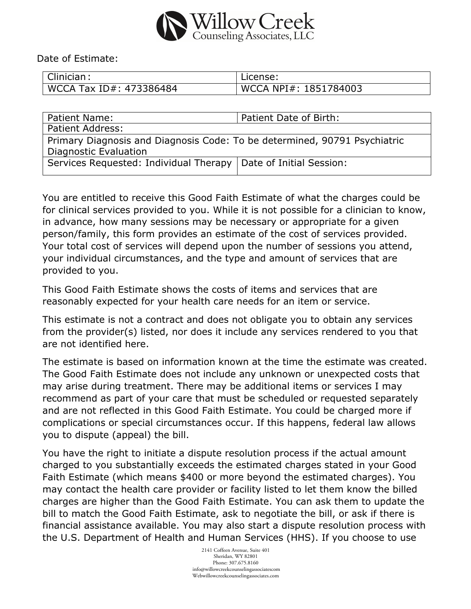

Date of Estimate:

| Clinician :             | License:              |
|-------------------------|-----------------------|
| WCCA Tax ID#: 473386484 | WCCA NPI#: 1851784003 |

| <b>Patient Name:</b>                                                                               | Patient Date of Birth: |  |
|----------------------------------------------------------------------------------------------------|------------------------|--|
| <b>Patient Address:</b>                                                                            |                        |  |
| Primary Diagnosis and Diagnosis Code: To be determined, 90791 Psychiatric<br>Diagnostic Evaluation |                        |  |
| Services Requested: Individual Therapy   Date of Initial Session:                                  |                        |  |

You are entitled to receive this Good Faith Estimate of what the charges could be for clinical services provided to you. While it is not possible for a clinician to know, in advance, how many sessions may be necessary or appropriate for a given person/family, this form provides an estimate of the cost of services provided. Your total cost of services will depend upon the number of sessions you attend, your individual circumstances, and the type and amount of services that are provided to you.

This Good Faith Estimate shows the costs of items and services that are reasonably expected for your health care needs for an item or service.

This estimate is not a contract and does not obligate you to obtain any services from the provider(s) listed, nor does it include any services rendered to you that are not identified here.

The estimate is based on information known at the time the estimate was created. The Good Faith Estimate does not include any unknown or unexpected costs that may arise during treatment. There may be additional items or services I may recommend as part of your care that must be scheduled or requested separately and are not reflected in this Good Faith Estimate. You could be charged more if complications or special circumstances occur. If this happens, federal law allows you to dispute (appeal) the bill.

You have the right to initiate a dispute resolution process if the actual amount charged to you substantially exceeds the estimated charges stated in your Good Faith Estimate (which means \$400 or more beyond the estimated charges). You may contact the health care provider or facility listed to let them know the billed charges are higher than the Good Faith Estimate. You can ask them to update the bill to match the Good Faith Estimate, ask to negotiate the bill, or ask if there is financial assistance available. You may also start a dispute resolution process with the U.S. Department of Health and Human Services (HHS). If you choose to use

> 2141 Coffeen Avenue, Suite 401 Sheridan, WY 82801 Phone: 307.675.8160 info@willowcreekcounselingassociatescom Webwillowcreekcounselingassociates.com